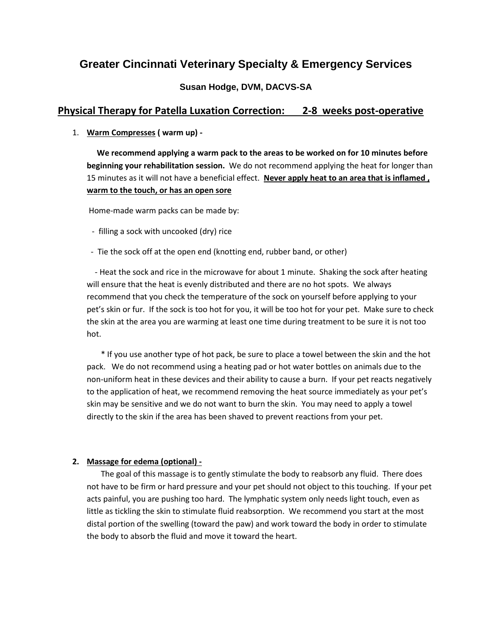# **Greater Cincinnati Veterinary Specialty & Emergency Services**

# **Susan Hodge, DVM, DACVS-SA**

# **Physical Therapy for Patella Luxation Correction: 2-8 weeks post-operative**

1. **Warm Compresses ( warm up) -**

 **We recommend applying a warm pack to the areas to be worked on for 10 minutes before beginning your rehabilitation session.** We do not recommend applying the heat for longer than 15 minutes as it will not have a beneficial effect. **Never apply heat to an area that is inflamed , warm to the touch, or has an open sore**

Home-made warm packs can be made by:

- filling a sock with uncooked (dry) rice
- Tie the sock off at the open end (knotting end, rubber band, or other)

 - Heat the sock and rice in the microwave for about 1 minute. Shaking the sock after heating will ensure that the heat is evenly distributed and there are no hot spots. We always recommend that you check the temperature of the sock on yourself before applying to your pet's skin or fur. If the sock is too hot for you, it will be too hot for your pet. Make sure to check the skin at the area you are warming at least one time during treatment to be sure it is not too hot.

 \* If you use another type of hot pack, be sure to place a towel between the skin and the hot pack. We do not recommend using a heating pad or hot water bottles on animals due to the non-uniform heat in these devices and their ability to cause a burn. If your pet reacts negatively to the application of heat, we recommend removing the heat source immediately as your pet's skin may be sensitive and we do not want to burn the skin. You may need to apply a towel directly to the skin if the area has been shaved to prevent reactions from your pet.

### **2. Massage for edema (optional) -**

 The goal of this massage is to gently stimulate the body to reabsorb any fluid. There does not have to be firm or hard pressure and your pet should not object to this touching. If your pet acts painful, you are pushing too hard. The lymphatic system only needs light touch, even as little as tickling the skin to stimulate fluid reabsorption. We recommend you start at the most distal portion of the swelling (toward the paw) and work toward the body in order to stimulate the body to absorb the fluid and move it toward the heart.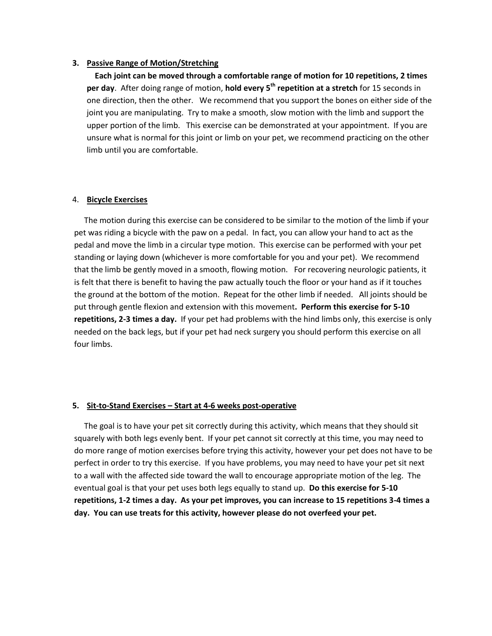#### **3. Passive Range of Motion/Stretching**

 **Each joint can be moved through a comfortable range of motion for 10 repetitions, 2 times per day**. After doing range of motion, **hold every 5th repetition at a stretch** for 15 seconds in one direction, then the other. We recommend that you support the bones on either side of the joint you are manipulating. Try to make a smooth, slow motion with the limb and support the upper portion of the limb. This exercise can be demonstrated at your appointment. If you are unsure what is normal for this joint or limb on your pet, we recommend practicing on the other limb until you are comfortable.

#### 4. **Bicycle Exercises**

 The motion during this exercise can be considered to be similar to the motion of the limb if your pet was riding a bicycle with the paw on a pedal. In fact, you can allow your hand to act as the pedal and move the limb in a circular type motion. This exercise can be performed with your pet standing or laying down (whichever is more comfortable for you and your pet). We recommend that the limb be gently moved in a smooth, flowing motion. For recovering neurologic patients, it is felt that there is benefit to having the paw actually touch the floor or your hand as if it touches the ground at the bottom of the motion. Repeat for the other limb if needed. All joints should be put through gentle flexion and extension with this movement**. Perform this exercise for 5-10 repetitions, 2-3 times a day.** If your pet had problems with the hind limbs only, this exercise is only needed on the back legs, but if your pet had neck surgery you should perform this exercise on all four limbs.

#### **5. Sit-to-Stand Exercises – Start at 4-6 weeks post-operative**

 The goal is to have your pet sit correctly during this activity, which means that they should sit squarely with both legs evenly bent. If your pet cannot sit correctly at this time, you may need to do more range of motion exercises before trying this activity, however your pet does not have to be perfect in order to try this exercise. If you have problems, you may need to have your pet sit next to a wall with the affected side toward the wall to encourage appropriate motion of the leg. The eventual goal is that your pet uses both legs equally to stand up. **Do this exercise for 5-10 repetitions, 1-2 times a day. As your pet improves, you can increase to 15 repetitions 3-4 times a day. You can use treats for this activity, however please do not overfeed your pet.**